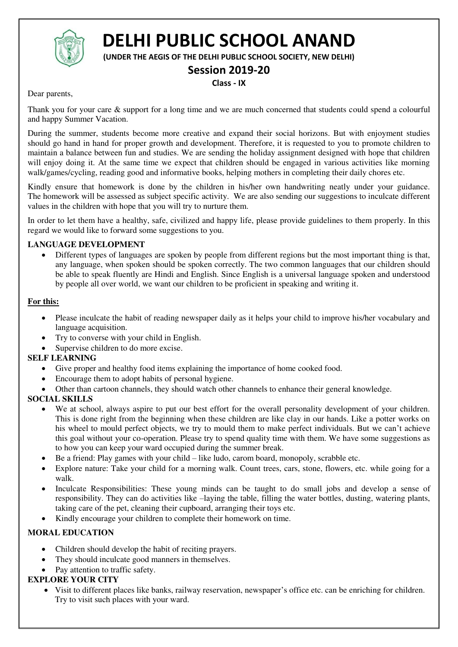

# **DELHI PUBLIC SCHOOL ANAND**

**(UNDER THE AEGIS OF THE DELHI PUBLIC SCHOOL SOCIETY, NEW DELHI)** 

# **Session 2019-20**

#### **Class - IX**

Dear parents,

Thank you for your care  $\&$  support for a long time and we are much concerned that students could spend a colourful and happy Summer Vacation.

During the summer, students become more creative and expand their social horizons. But with enjoyment studies should go hand in hand for proper growth and development. Therefore, it is requested to you to promote children to maintain a balance between fun and studies. We are sending the holiday assignment designed with hope that children will enjoy doing it. At the same time we expect that children should be engaged in various activities like morning walk/games/cycling, reading good and informative books, helping mothers in completing their daily chores etc.

Kindly ensure that homework is done by the children in his/her own handwriting neatly under your guidance. The homework will be assessed as subject specific activity. We are also sending our suggestions to inculcate different values in the children with hope that you will try to nurture them.

In order to let them have a healthy, safe, civilized and happy life, please provide guidelines to them properly. In this regard we would like to forward some suggestions to you.

## **LANGUAGE DEVELOPMENT**

 Different types of languages are spoken by people from different regions but the most important thing is that, any language, when spoken should be spoken correctly. The two common languages that our children should be able to speak fluently are Hindi and English. Since English is a universal language spoken and understood by people all over world, we want our children to be proficient in speaking and writing it.

## **For this:**

- Please inculcate the habit of reading newspaper daily as it helps your child to improve his/her vocabulary and language acquisition.
- Try to converse with your child in English.
- Supervise children to do more excise.

## **SELF LEARNING**

- Give proper and healthy food items explaining the importance of home cooked food.
- Encourage them to adopt habits of personal hygiene.
- Other than cartoon channels, they should watch other channels to enhance their general knowledge.

## **SOCIAL SKILLS**

- We at school, always aspire to put our best effort for the overall personality development of your children. This is done right from the beginning when these children are like clay in our hands. Like a potter works on his wheel to mould perfect objects, we try to mould them to make perfect individuals. But we can't achieve this goal without your co-operation. Please try to spend quality time with them. We have some suggestions as to how you can keep your ward occupied during the summer break.
- Be a friend: Play games with your child like ludo, carom board, monopoly, scrabble etc.
- Explore nature: Take your child for a morning walk. Count trees, cars, stone, flowers, etc. while going for a walk.
- Inculcate Responsibilities: These young minds can be taught to do small jobs and develop a sense of responsibility. They can do activities like –laying the table, filling the water bottles, dusting, watering plants, taking care of the pet, cleaning their cupboard, arranging their toys etc.
- Kindly encourage your children to complete their homework on time.

# **MORAL EDUCATION**

- Children should develop the habit of reciting prayers.
- They should inculcate good manners in themselves.
- Pay attention to traffic safety.

## **EXPLORE YOUR CITY**

 Visit to different places like banks, railway reservation, newspaper's office etc. can be enriching for children. Try to visit such places with your ward.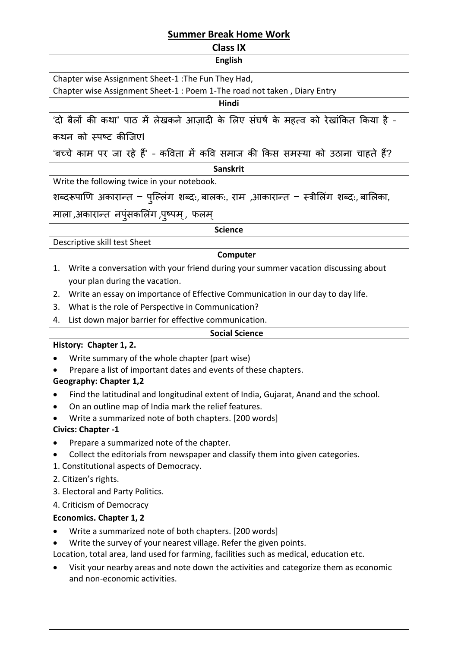# **Summer Break Home Work**

# **Class IX**

| <b>English</b> |  |  |
|----------------|--|--|

Chapter wise Assignment Sheet-1 :The Fun They Had,

Chapter wise Assignment Sheet-1 : Poem 1-The road not taken , Diary Entry

# **Hindi**

'दो बैलों की कथा' पाठ में लेखकने आजादी के लिए संघर्ष के महत्व को रेखांकित किया है -कथन को स्पष्ट कीजिएI

'बच्चे काम पर जा रहे हैं' - कविता में कवि समाज की किस समस्या को उठाना चाहते हैं?

#### **Sanskrit**

Write the following twice in your notebook.

शब्दरूपाणि अकारान्त – पुल्लिंग शब्दः, बालकः, राम ,आकारान्त – स्त्रीलिंग शब्दः, बालिका,

माला ,अकारान्त नपुंसकलिंग ,पृष्पम् , फलम्

#### **Science**

Descriptive skill test Sheet

# **Computer**

- 1. Write a conversation with your friend during your summer vacation discussing about your plan during the vacation.
- 2. Write an essay on importance of Effective Communication in our day to day life.
- 3. What is the role of Perspective in Communication?
- 4. List down major barrier for effective communication.

## **Social Science**

# **History: Chapter 1, 2.**

- Write summary of the whole chapter (part wise)
- Prepare a list of important dates and events of these chapters.

# **Geography: Chapter 1,2**

- Find the latitudinal and longitudinal extent of India, Gujarat, Anand and the school.
- On an outline map of India mark the relief features.
- Write a summarized note of both chapters. [200 words]

# **Civics: Chapter -1**

- Prepare a summarized note of the chapter.
- Collect the editorials from newspaper and classify them into given categories.
- 1. Constitutional aspects of Democracy.
- 2. Citizen's rights.
- 3. Electoral and Party Politics.
- 4. Criticism of Democracy

# **Economics. Chapter 1, 2**

- Write a summarized note of both chapters. [200 words]
- Write the survey of your nearest village. Refer the given points.

Location, total area, land used for farming, facilities such as medical, education etc.

 Visit your nearby areas and note down the activities and categorize them as economic and non-economic activities.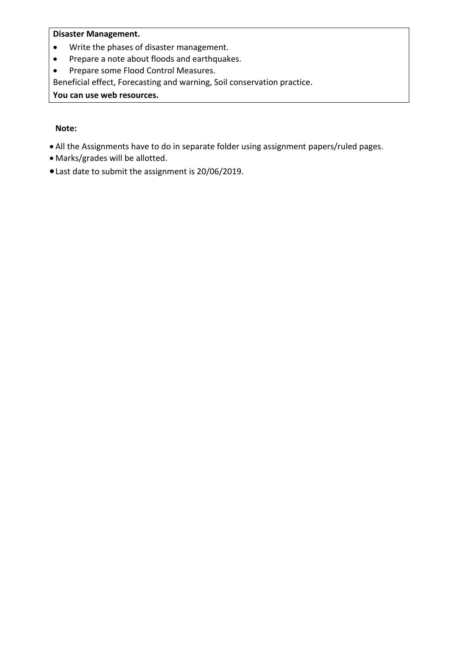# **Disaster Management.**

- Write the phases of disaster management.
- Prepare a note about floods and earthquakes.
- Prepare some Flood Control Measures.

Beneficial effect, Forecasting and warning, Soil conservation practice.

**You can use web resources.**

#### **Note:**

- All the Assignments have to do in separate folder using assignment papers/ruled pages.
- Marks/grades will be allotted.
- Last date to submit the assignment is 20/06/2019.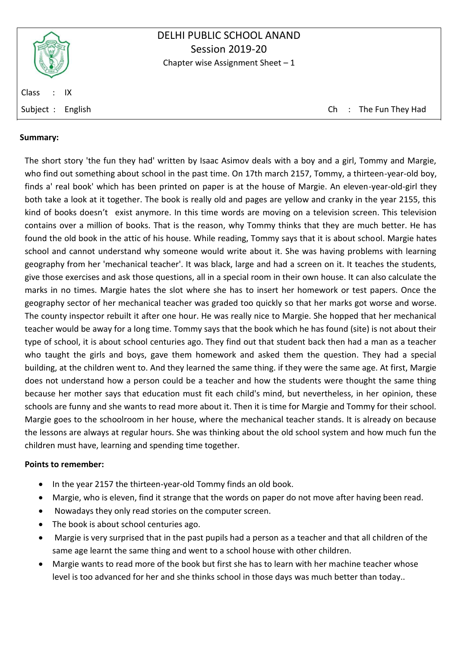

# DELHI PUBLIC SCHOOL ANAND Session 2019-20 Chapter wise Assignment Sheet  $-1$

Class : IX

Subject : English Ch : The Fun They Had

#### **Summary:**

The short story 'the fun they had' written by Isaac Asimov deals with a boy and a girl, Tommy and Margie, who find out something about school in the past time. On 17th march 2157, Tommy, a thirteen-year-old boy, finds a' real book' which has been printed on paper is at the house of Margie. An eleven-year-old-girl they both take a look at it together. The book is really old and pages are yellow and cranky in the year 2155, this kind of books doesn't exist anymore. In this time words are moving on a television screen. This television contains over a million of books. That is the reason, why Tommy thinks that they are much better. He has found the old book in the attic of his house. While reading, Tommy says that it is about school. Margie hates school and cannot understand why someone would write about it. She was having problems with learning geography from her 'mechanical teacher'. It was black, large and had a screen on it. It teaches the students, give those exercises and ask those questions, all in a special room in their own house. It can also calculate the marks in no times. Margie hates the slot where she has to insert her homework or test papers. Once the geography sector of her mechanical teacher was graded too quickly so that her marks got worse and worse. The county inspector rebuilt it after one hour. He was really nice to Margie. She hopped that her mechanical teacher would be away for a long time. Tommy says that the book which he has found (site) is not about their type of school, it is about school centuries ago. They find out that student back then had a man as a teacher who taught the girls and boys, gave them homework and asked them the question. They had a special building, at the children went to. And they learned the same thing. if they were the same age. At first, Margie does not understand how a person could be a teacher and how the students were thought the same thing because her mother says that education must fit each child's mind, but nevertheless, in her opinion, these schools are funny and she wants to read more about it. Then it is time for Margie and Tommy for their school. Margie goes to the schoolroom in her house, where the mechanical teacher stands. It is already on because the lessons are always at regular hours. She was thinking about the old school system and how much fun the children must have, learning and spending time together.

#### **Points to remember:**

- In the year 2157 the thirteen-year-old Tommy finds an old book.
- Margie, who is eleven, find it strange that the words on paper do not move after having been read.
- Nowadays they only read stories on the computer screen.
- The book is about school centuries ago.
- Margie is very surprised that in the past pupils had a person as a teacher and that all children of the same age learnt the same thing and went to a school house with other children.
- Margie wants to read more of the book but first she has to learn with her machine teacher whose level is too advanced for her and she thinks school in those days was much better than today..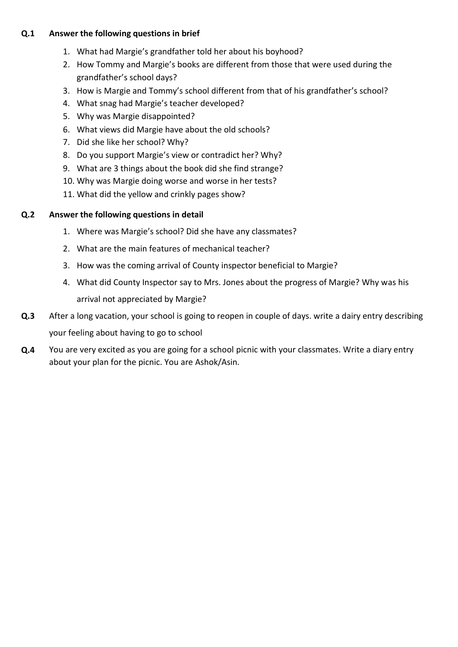## **Q.1 Answer the following questions in brief**

- 1. What had Margie's grandfather told her about his boyhood?
- 2. How Tommy and Margie's books are different from those that were used during the grandfather's school days?
- 3. How is Margie and Tommy's school different from that of his grandfather's school?
- 4. What snag had Margie's teacher developed?
- 5. Why was Margie disappointed?
- 6. What views did Margie have about the old schools?
- 7. Did she like her school? Why?
- 8. Do you support Margie's view or contradict her? Why?
- 9. What are 3 things about the book did she find strange?
- 10. Why was Margie doing worse and worse in her tests?
- 11. What did the yellow and crinkly pages show?

## **Q.2 Answer the following questions in detail**

- 1. Where was Margie's school? Did she have any classmates?
- 2. What are the main features of mechanical teacher?
- 3. How was the coming arrival of County inspector beneficial to Margie?
- 4. What did County Inspector say to Mrs. Jones about the progress of Margie? Why was his arrival not appreciated by Margie?
- **Q.3** After a long vacation, your school is going to reopen in couple of days. write a dairy entry describing your feeling about having to go to school
- **Q.4** You are very excited as you are going for a school picnic with your classmates. Write a diary entry about your plan for the picnic. You are Ashok/Asin.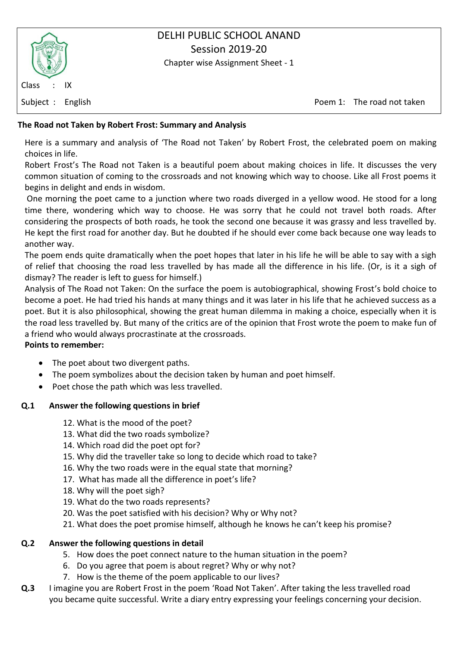

# DELHI PUBLIC SCHOOL ANAND Session 2019-20

Chapter wise Assignment Sheet - 1

Subject : English Poem 1: The road not taken

# **The Road not Taken by Robert Frost: Summary and Analysis**

Here is a summary and analysis of 'The Road not Taken' by Robert Frost, the celebrated poem on making choices in life.

Robert Frost's The Road not Taken is a beautiful poem about making choices in life. It discusses the very common situation of coming to the crossroads and not knowing which way to choose. Like all Frost poems it begins in delight and ends in wisdom.

 One morning the poet came to a junction where two roads diverged in a yellow wood. He stood for a long time there, wondering which way to choose. He was sorry that he could not travel both roads. After considering the prospects of both roads, he took the second one because it was grassy and less travelled by. He kept the first road for another day. But he doubted if he should ever come back because one way leads to another way.

The poem ends quite dramatically when the poet hopes that later in his life he will be able to say with a sigh of relief that choosing the road less travelled by has made all the difference in his life. (Or, is it a sigh of dismay? The reader is left to guess for himself.)

Analysis of The Road not Taken: On the surface the poem is autobiographical, showing Frost's bold choice to become a poet. He had tried his hands at many things and it was later in his life that he achieved success as a poet. But it is also philosophical, showing the great human dilemma in making a choice, especially when it is the road less travelled by. But many of the critics are of the opinion that Frost wrote the poem to make fun of a friend who would always procrastinate at the crossroads.

## **Points to remember:**

- The poet about two divergent paths.
- The poem symbolizes about the decision taken by human and poet himself.
- Poet chose the path which was less travelled.

# **Q.1 Answer the following questions in brief**

- 12. What is the mood of the poet?
- 13. What did the two roads symbolize?
- 14. Which road did the poet opt for?
- 15. Why did the traveller take so long to decide which road to take?
- 16. Why the two roads were in the equal state that morning?
- 17. What has made all the difference in poet's life?
- 18. Why will the poet sigh?
- 19. What do the two roads represents?
- 20. Was the poet satisfied with his decision? Why or Why not?
- 21. What does the poet promise himself, although he knows he can't keep his promise?

# **Q.2 Answer the following questions in detail**

- 5. How does the poet connect nature to the human situation in the poem?
- 6. Do you agree that poem is about regret? Why or why not?
- 7. How is the theme of the poem applicable to our lives?
- **Q.3** I imagine you are Robert Frost in the poem 'Road Not Taken'. After taking the less travelled road you became quite successful. Write a diary entry expressing your feelings concerning your decision.